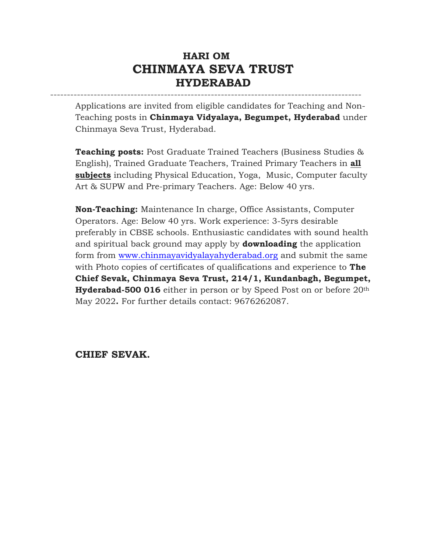# **HARI OM CHINMAYA SEVA TRUST HYDERABAD**

---------------------------------------------------------------------------------------------

Applications are invited from eligible candidates for Teaching and Non-Teaching posts in **Chinmaya Vidyalaya, Begumpet, Hyderabad** under Chinmaya Seva Trust, Hyderabad.

**Teaching posts:** Post Graduate Trained Teachers (Business Studies & English), Trained Graduate Teachers, Trained Primary Teachers in **all subjects** including Physical Education, Yoga, Music, Computer faculty Art & SUPW and Pre-primary Teachers. Age: Below 40 yrs.

**Non-Teaching:** Maintenance In charge, Office Assistants, Computer Operators. Age: Below 40 yrs. Work experience: 3-5yrs desirable preferably in CBSE schools. Enthusiastic candidates with sound health and spiritual back ground may apply by **downloading** the application form from [www.chinmayavidyalayahyderabad.org](http://www.chinmayavidyalayahyderabad.org/) and submit the same with Photo copies of certificates of qualifications and experience to **The Chief Sevak, Chinmaya Seva Trust, 214/1, Kundanbagh, Begumpet, Hyderabad-500 016** either in person or by Speed Post on or before 20th May 2022**.** For further details contact: 9676262087.

#### **CHIEF SEVAK.**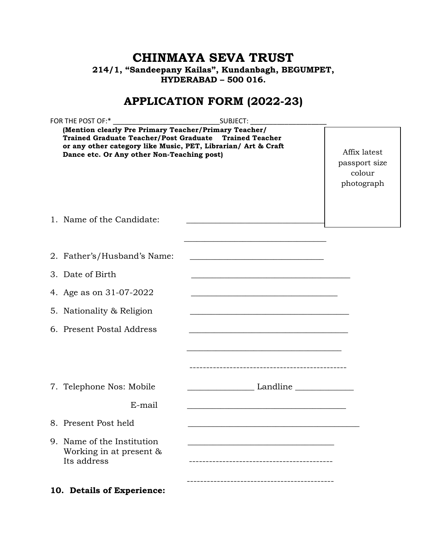# **CHINMAYA SEVA TRUST 214/1, "Sandeepany Kailas", Kundanbagh, BEGUMPET, HYDERABAD – 500 016.**

# **APPLICATION FORM (2022-23)**

| FOR THE POST OF:*                                                                                                                                                                                                              | SUBJECT:                                                                                                               |                                                       |
|--------------------------------------------------------------------------------------------------------------------------------------------------------------------------------------------------------------------------------|------------------------------------------------------------------------------------------------------------------------|-------------------------------------------------------|
| (Mention clearly Pre Primary Teacher/Primary Teacher/<br>Trained Graduate Teacher/Post Graduate Trained Teacher<br>or any other category like Music, PET, Librarian/ Art & Craft<br>Dance etc. Or Any other Non-Teaching post) |                                                                                                                        | Affix latest<br>passport size<br>colour<br>photograph |
| 1. Name of the Candidate:                                                                                                                                                                                                      |                                                                                                                        |                                                       |
| 2. Father's/Husband's Name:                                                                                                                                                                                                    | <u> 1989 - Johann Barbara, martxa alemaniar argumento estas estas estas estas estas estas estas estas estas estas </u> |                                                       |
| 3. Date of Birth                                                                                                                                                                                                               | the control of the control of the control of the control of the control of the control of                              |                                                       |
| 4. Age as on 31-07-2022                                                                                                                                                                                                        | <u> 1988 - Johann John Stein, marwolaeth a bhannaich an t-Amhain an t-Amhain an t-Amhain an t-Amhain an t-Amhain</u>   |                                                       |
| 5. Nationality & Religion                                                                                                                                                                                                      | <u> 1989 - Johann Stein, marwolaethau a bhann an t-Amhain an t-Amhain an t-Amhain an t-Amhain an t-Amhain an t-A</u>   |                                                       |
| 6. Present Postal Address                                                                                                                                                                                                      | <u> 1989 - Johann Stoff, amerikansk politiker (d. 1989)</u>                                                            |                                                       |
|                                                                                                                                                                                                                                | <u> 1990 - Jan James James James James James James James James James James James James James James James James J</u>   |                                                       |
| 7. Telephone Nos: Mobile                                                                                                                                                                                                       | <u>Landline</u>                                                                                                        |                                                       |
| E-mail                                                                                                                                                                                                                         |                                                                                                                        |                                                       |
| 8. Present Post held                                                                                                                                                                                                           |                                                                                                                        |                                                       |
| 9. Name of the Institution<br>Working in at present $\&$<br>Its address                                                                                                                                                        |                                                                                                                        |                                                       |
| 10. Details of Experience:                                                                                                                                                                                                     |                                                                                                                        |                                                       |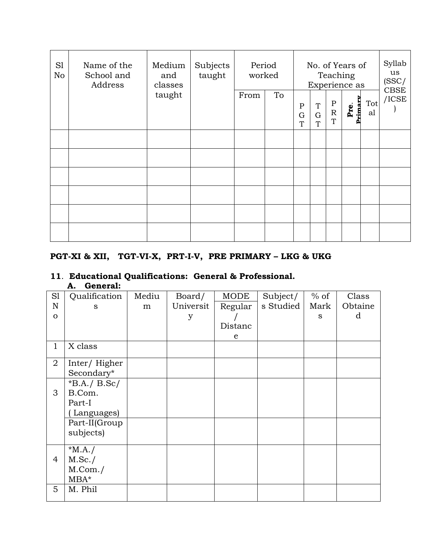| S1<br>N <sub>o</sub> | Name of the<br>School and<br>Address | Subjects<br>Medium<br>taught<br>and<br>classes |  | Period<br>worked |    | No. of Years of<br>Teaching<br>Experience as |                       |                                              | Syllab<br>us<br>(SSC/ |           |                         |
|----------------------|--------------------------------------|------------------------------------------------|--|------------------|----|----------------------------------------------|-----------------------|----------------------------------------------|-----------------------|-----------|-------------------------|
|                      |                                      | taught                                         |  | From             | To | ${\bf P}$<br>G<br>T                          | T<br>$\mathbf G$<br>T | $\, {\bf P}$<br>${\mathbf R}$<br>$\mathbf T$ | rimar<br>Pre.         | Tot<br>al | <b>CBSE</b><br>$/$ ICSE |
|                      |                                      |                                                |  |                  |    |                                              |                       |                                              |                       |           |                         |
|                      |                                      |                                                |  |                  |    |                                              |                       |                                              |                       |           |                         |
|                      |                                      |                                                |  |                  |    |                                              |                       |                                              |                       |           |                         |
|                      |                                      |                                                |  |                  |    |                                              |                       |                                              |                       |           |                         |
|                      |                                      |                                                |  |                  |    |                                              |                       |                                              |                       |           |                         |
|                      |                                      |                                                |  |                  |    |                                              |                       |                                              |                       |           |                         |

### **PGT-XI & XII, TGT-VI-X, PRT-I-V, PRE PRIMARY – LKG & UKG**

#### **11**. **Educational Qualifications: General & Professional. A. General:**

| S1             | Qualification  | Mediu | Board/    | <b>MODE</b> | Subject/  | $%$ of | Class   |
|----------------|----------------|-------|-----------|-------------|-----------|--------|---------|
| $\mathbf N$    | S              | m     | Universit | Regular     | s Studied | Mark   | Obtaine |
| $\Omega$       |                |       | y         |             |           | S      | d       |
|                |                |       |           | Distanc     |           |        |         |
|                |                |       |           | e           |           |        |         |
| $\mathbf{1}$   | X class        |       |           |             |           |        |         |
| $\overline{2}$ | Inter/Higher   |       |           |             |           |        |         |
|                | Secondary*     |       |           |             |           |        |         |
|                | $*B.A./ B.Sc/$ |       |           |             |           |        |         |
| 3              | B.Com.         |       |           |             |           |        |         |
|                | Part-I         |       |           |             |           |        |         |
|                | Languages)     |       |           |             |           |        |         |
|                | Part-II(Group  |       |           |             |           |        |         |
|                | subjects)      |       |           |             |           |        |         |
|                |                |       |           |             |           |        |         |
| $\overline{4}$ | $*MA. /$       |       |           |             |           |        |         |
|                | M.Sc./         |       |           |             |           |        |         |
|                | M.Com./        |       |           |             |           |        |         |
|                | $MBA*$         |       |           |             |           |        |         |
| 5              | M. Phil        |       |           |             |           |        |         |
|                |                |       |           |             |           |        |         |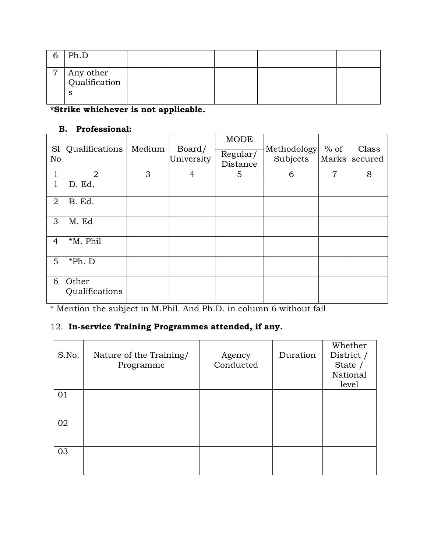|                | Ph.D                            |  |  |  |
|----------------|---------------------------------|--|--|--|
| $\overline{ }$ | Any other<br>Qualification<br>S |  |  |  |

**\*Strike whichever is not applicable.** 

#### **B. Professional:**

| S <sub>1</sub><br>No | Qualifications          | Medium | Board/<br>University | <b>MODE</b><br>Regular/<br>Distance | Methodology<br>Subjects | $%$ of<br>Marks | Class<br>secured |
|----------------------|-------------------------|--------|----------------------|-------------------------------------|-------------------------|-----------------|------------------|
| 1                    | $\overline{2}$          | 3      | 4                    | 5                                   | 6                       | $\overline{7}$  | 8                |
| $\mathbf 1$          | D. Ed.                  |        |                      |                                     |                         |                 |                  |
| $\overline{2}$       | B. Ed.                  |        |                      |                                     |                         |                 |                  |
| 3                    | M. Ed                   |        |                      |                                     |                         |                 |                  |
| $\overline{4}$       | *M. Phil                |        |                      |                                     |                         |                 |                  |
| 5                    | *Ph. D                  |        |                      |                                     |                         |                 |                  |
| 6                    | Other<br>Qualifications |        |                      |                                     |                         |                 |                  |

\* Mention the subject in M.Phil. And Ph.D. in column 6 without fail

# 12. **In-service Training Programmes attended, if any.**

| S.No. | Nature of the Training/<br>Programme | Agency<br>Conducted | Duration | Whether<br>District /<br>State /<br>National<br>level |
|-------|--------------------------------------|---------------------|----------|-------------------------------------------------------|
| 01    |                                      |                     |          |                                                       |
| 02    |                                      |                     |          |                                                       |
| 03    |                                      |                     |          |                                                       |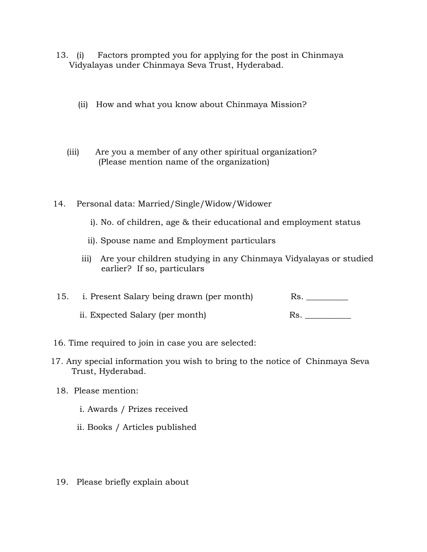- 13. (i) Factors prompted you for applying for the post in Chinmaya Vidyalayas under Chinmaya Seva Trust, Hyderabad.
	- (ii) How and what you know about Chinmaya Mission?
	- (iii) Are you a member of any other spiritual organization? (Please mention name of the organization)
- 14. Personal data: Married/Single/Widow/Widower
	- i). No. of children, age & their educational and employment status
	- ii). Spouse name and Employment particulars
	- iii) Are your children studying in any Chinmaya Vidyalayas or studied earlier? If so, particulars

| 15. i. Present Salary being drawn (per month) |  |
|-----------------------------------------------|--|
|                                               |  |

- ii. Expected Salary (per month) Rs.
- 16. Time required to join in case you are selected:
- 17. Any special information you wish to bring to the notice of Chinmaya Seva Trust, Hyderabad.
- 18. Please mention:
	- i. Awards / Prizes received
	- ii. Books / Articles published
- 19. Please briefly explain about